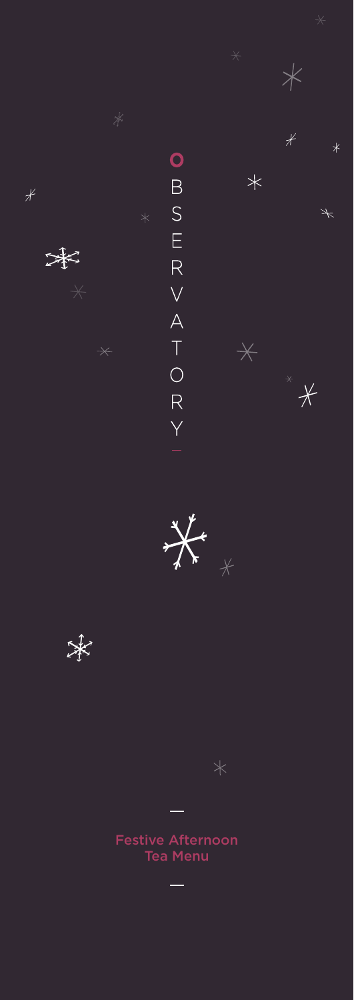

 $\frac{1}{\sqrt{2}}$ 

 $\frac{1}{2}$ 

Festive Afternoon

 $\equiv$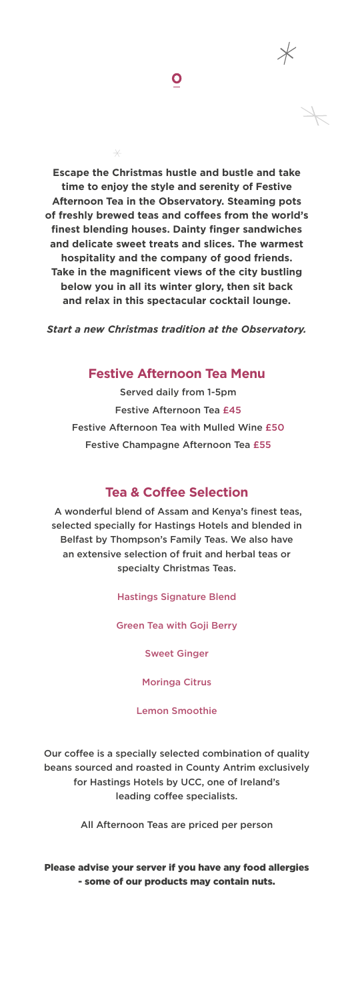**Escape the Christmas hustle and bustle and take time to enjoy the style and serenity of Festive Afternoon Tea in the Observatory. Steaming pots of freshly brewed teas and coffees from the world's finest blending houses. Dainty finger sandwiches and delicate sweet treats and slices. The warmest hospitality and the company of good friends. Take in the magnificent views of the city bustling below you in all its winter glory, then sit back and relax in this spectacular cocktail lounge.** 

 $\bullet$ 

*Start a new Christmas tradition at the Observatory.*

## **Festive Afternoon Tea Menu**

Served daily from 1-5pm Festive Afternoon Tea £45 Festive Afternoon Tea with Mulled Wine £50 Festive Champagne Afternoon Tea £55

## **Tea & Coffee Selection**

A wonderful blend of Assam and Kenya's finest teas, selected specially for Hastings Hotels and blended in Belfast by Thompson's Family Teas. We also have an extensive selection of fruit and herbal teas or specialty Christmas Teas.

Hastings Signature Blend

Green Tea with Goji Berry

Sweet Ginger

Moringa Citrus

Lemon Smoothie

Our coffee is a specially selected combination of quality beans sourced and roasted in County Antrim exclusively for Hastings Hotels by UCC, one of Ireland's leading coffee specialists.

All Afternoon Teas are priced per person

Please advise your server if you have any food allergies - some of our products may contain nuts.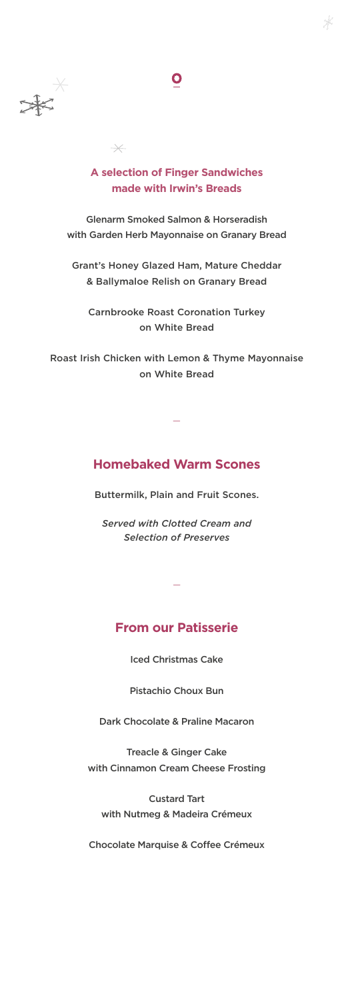

### **A selection of Finger Sandwiches made with Irwin's Breads**

 $\overline{\times}$ 

 $\bullet$ 

Glenarm Smoked Salmon & Horseradish with Garden Herb Mayonnaise on Granary Bread

Grant's Honey Glazed Ham, Mature Cheddar & Ballymaloe Relish on Granary Bread

Carnbrooke Roast Coronation Turkey on White Bread

Roast Irish Chicken with Lemon & Thyme Mayonnaise on White Bread

# **Homebaked Warm Scones**

**—**

Buttermilk, Plain and Fruit Scones.

*Served with Clotted Cream and Selection of Preserves*

#### **From our Patisserie**

**—**

Iced Christmas Cake

Pistachio Choux Bun

Dark Chocolate & Praline Macaron

Treacle & Ginger Cake with Cinnamon Cream Cheese Frosting

Custard Tart with Nutmeg & Madeira Crémeux

Chocolate Marquise & Coffee Crémeux